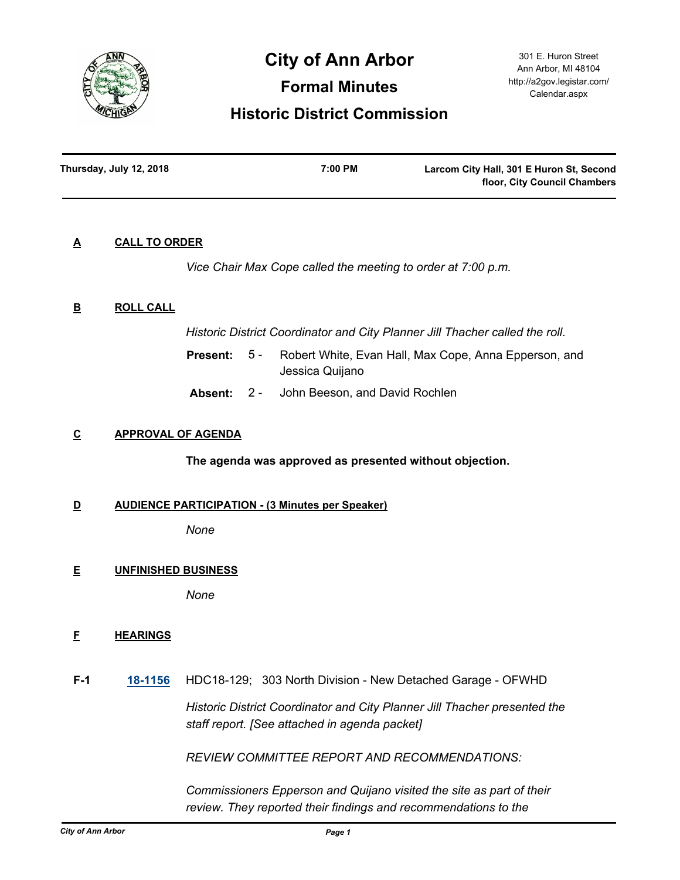

# **City of Ann Arbor**

**Formal Minutes**

# **Historic District Commission**

| Thursday, July 12, 2018 | 7:00 PM | Larcom City Hall, 301 E Huron St, Second |
|-------------------------|---------|------------------------------------------|
|                         |         | floor, City Council Chambers             |

# **A CALL TO ORDER**

*Vice Chair Max Cope called the meeting to order at 7:00 p.m.*

# **B ROLL CALL**

*Historic District Coordinator and City Planner Jill Thacher called the roll.*

- Robert White, Evan Hall, Max Cope, Anna Epperson, and Jessica Quijano **Present:** 5 -
- **Absent:** 2 John Beeson, and David Rochlen

# **C APPROVAL OF AGENDA**

# **The agenda was approved as presented without objection.**

# **D AUDIENCE PARTICIPATION - (3 Minutes per Speaker)**

*None*

# **E UNFINISHED BUSINESS**

*None*

# **F HEARINGS**

**F-1 [18-1156](http://a2gov.legistar.com/gateway.aspx?M=L&ID=20767)** HDC18-129; 303 North Division - New Detached Garage - OFWHD

*Historic District Coordinator and City Planner Jill Thacher presented the staff report. [See attached in agenda packet]* 

*REVIEW COMMITTEE REPORT AND RECOMMENDATIONS:*

*Commissioners Epperson and Quijano visited the site as part of their review. They reported their findings and recommendations to the*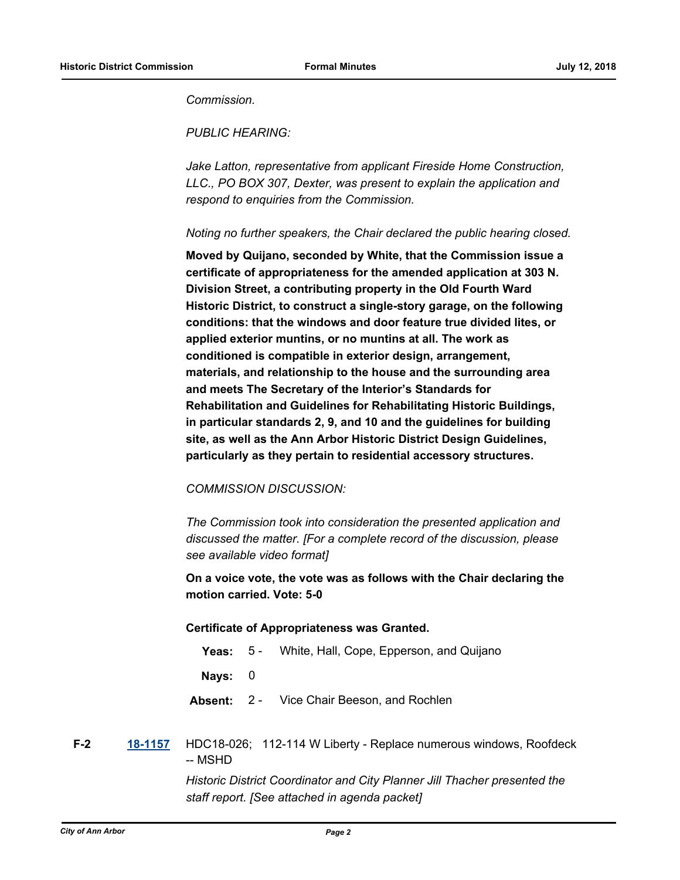*Commission.*

*PUBLIC HEARING:*

*Jake Latton, representative from applicant Fireside Home Construction, LLC., PO BOX 307, Dexter, was present to explain the application and respond to enquiries from the Commission.*

*Noting no further speakers, the Chair declared the public hearing closed.*

**Moved by Quijano, seconded by White, that the Commission issue a certificate of appropriateness for the amended application at 303 N. Division Street, a contributing property in the Old Fourth Ward Historic District, to construct a single-story garage, on the following conditions: that the windows and door feature true divided lites, or applied exterior muntins, or no muntins at all. The work as conditioned is compatible in exterior design, arrangement, materials, and relationship to the house and the surrounding area and meets The Secretary of the Interior's Standards for Rehabilitation and Guidelines for Rehabilitating Historic Buildings, in particular standards 2, 9, and 10 and the guidelines for building site, as well as the Ann Arbor Historic District Design Guidelines, particularly as they pertain to residential accessory structures.**

# *COMMISSION DISCUSSION:*

*The Commission took into consideration the presented application and discussed the matter. [For a complete record of the discussion, please see available video format]*

**On a voice vote, the vote was as follows with the Chair declaring the motion carried. Vote: 5-0**

#### **Certificate of Appropriateness was Granted.**

- **Yeas:** 5 White, Hall, Cope, Epperson, and Quijano
- **Nays:** 0
- **Absent:** 2 Vice Chair Beeson, and Rochlen

**F-2 [18-1157](http://a2gov.legistar.com/gateway.aspx?M=L&ID=20768)** HDC18-026; 112-114 W Liberty - Replace numerous windows, Roofdeck -- MSHD

> *Historic District Coordinator and City Planner Jill Thacher presented the staff report. [See attached in agenda packet]*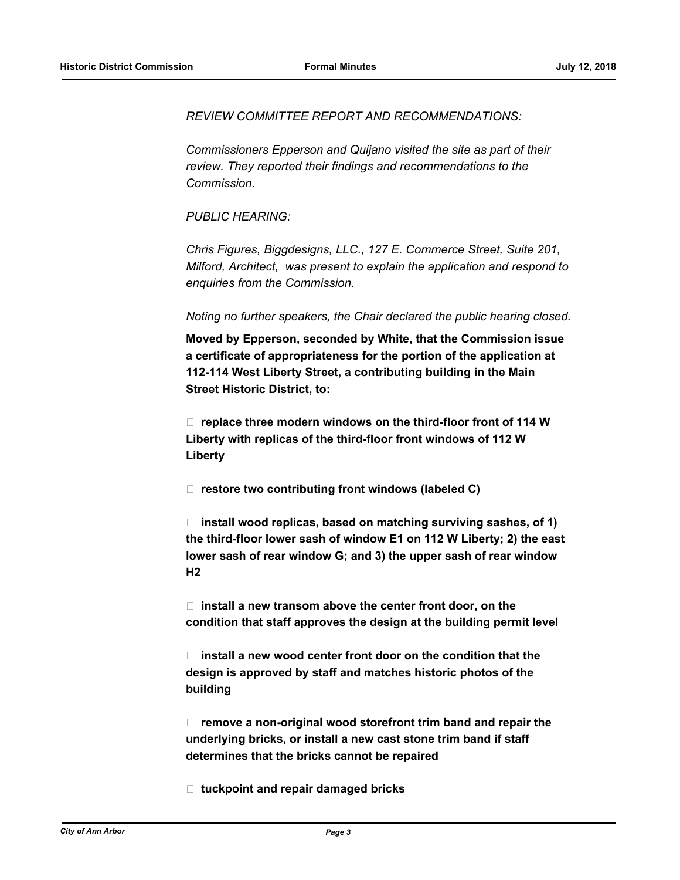*REVIEW COMMITTEE REPORT AND RECOMMENDATIONS:*

*Commissioners Epperson and Quijano visited the site as part of their review. They reported their findings and recommendations to the Commission.*

*PUBLIC HEARING:*

*Chris Figures, Biggdesigns, LLC., 127 E. Commerce Street, Suite 201, Milford, Architect, was present to explain the application and respond to enquiries from the Commission.*

#### *Noting no further speakers, the Chair declared the public hearing closed.*

**Moved by Epperson, seconded by White, that the Commission issue a certificate of appropriateness for the portion of the application at 112-114 West Liberty Street, a contributing building in the Main Street Historic District, to:**

 **replace three modern windows on the third-floor front of 114 W Liberty with replicas of the third-floor front windows of 112 W Liberty**

□ restore two contributing front windows (labeled C)

 **install wood replicas, based on matching surviving sashes, of 1) the third-floor lower sash of window E1 on 112 W Liberty; 2) the east lower sash of rear window G; and 3) the upper sash of rear window H2**

 **install a new transom above the center front door, on the condition that staff approves the design at the building permit level**

 **install a new wood center front door on the condition that the design is approved by staff and matches historic photos of the building**

 **remove a non-original wood storefront trim band and repair the underlying bricks, or install a new cast stone trim band if staff determines that the bricks cannot be repaired**

 **tuckpoint and repair damaged bricks**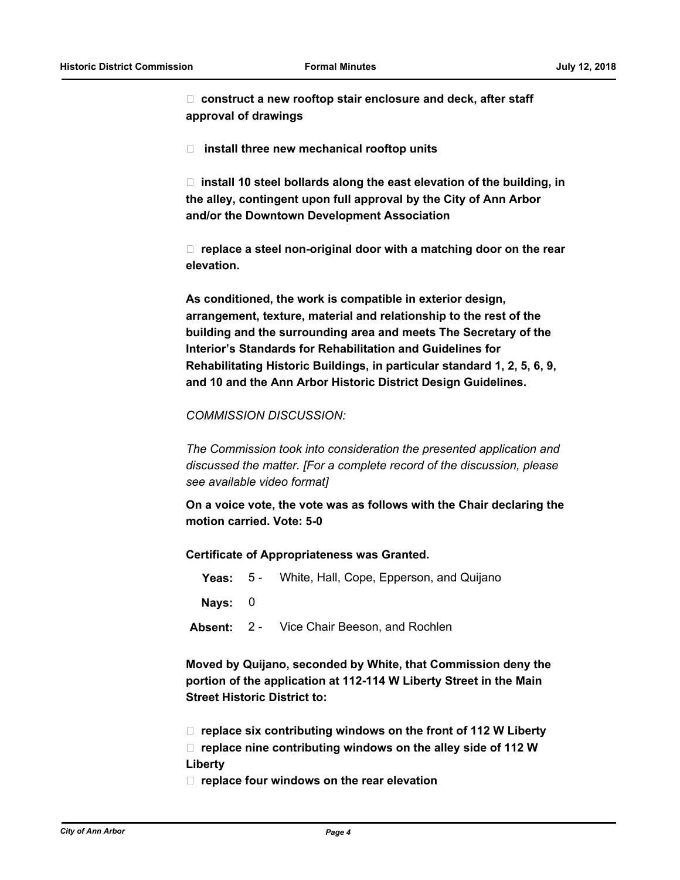**construct a new rooftop stair enclosure and deck, after staff approval of drawings**

 **install three new mechanical rooftop units**

□ install 10 steel bollards along the east elevation of the building, in **the alley, contingent upon full approval by the City of Ann Arbor and/or the Downtown Development Association**

 **replace a steel non-original door with a matching door on the rear elevation.**

**As conditioned, the work is compatible in exterior design, arrangement, texture, material and relationship to the rest of the building and the surrounding area and meets The Secretary of the Interior's Standards for Rehabilitation and Guidelines for Rehabilitating Historic Buildings, in particular standard 1, 2, 5, 6, 9, and 10 and the Ann Arbor Historic District Design Guidelines.**

# *COMMISSION DISCUSSION:*

*The Commission took into consideration the presented application and discussed the matter. [For a complete record of the discussion, please see available video format]*

**On a voice vote, the vote was as follows with the Chair declaring the motion carried. Vote: 5-0**

#### **Certificate of Appropriateness was Granted.**

- **Yeas:** 5 White, Hall, Cope, Epperson, and Quijano
- **Nays:** 0
- **Absent:** 2 Vice Chair Beeson, and Rochlen

**Moved by Quijano, seconded by White, that Commission deny the portion of the application at 112-114 W Liberty Street in the Main Street Historic District to:** 

- **replace six contributing windows on the front of 112 W Liberty**
- **replace nine contributing windows on the alley side of 112 W Liberty**
- **replace four windows on the rear elevation**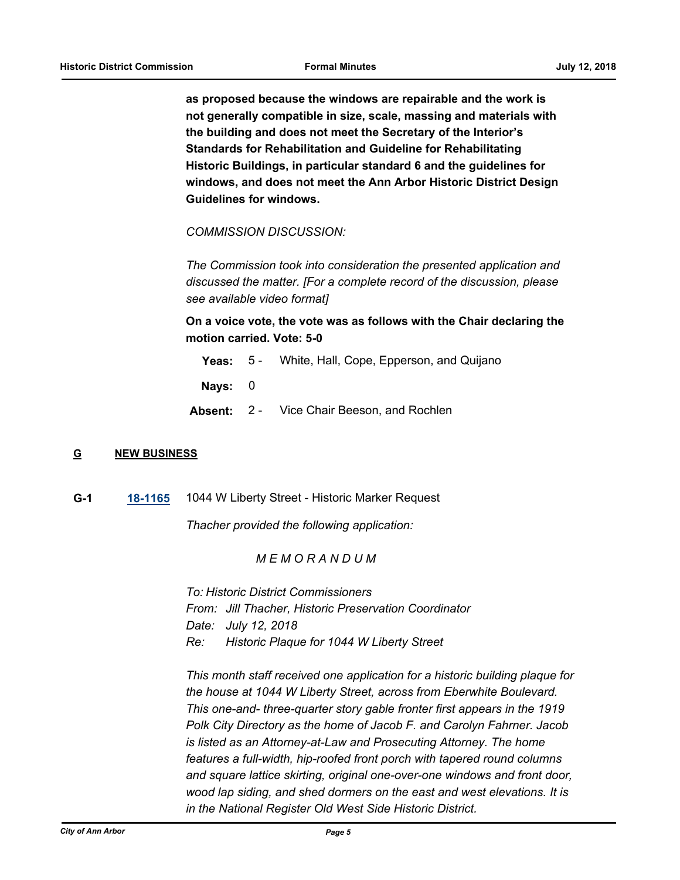**as proposed because the windows are repairable and the work is not generally compatible in size, scale, massing and materials with the building and does not meet the Secretary of the Interior's Standards for Rehabilitation and Guideline for Rehabilitating Historic Buildings, in particular standard 6 and the guidelines for windows, and does not meet the Ann Arbor Historic District Design Guidelines for windows.**

*COMMISSION DISCUSSION:*

*The Commission took into consideration the presented application and discussed the matter. [For a complete record of the discussion, please see available video format]*

**On a voice vote, the vote was as follows with the Chair declaring the motion carried. Vote: 5-0**

**Yeas:** 5 - White, Hall, Cope, Epperson, and Quijano

**Nays:** 0

**Absent:** 2 - Vice Chair Beeson, and Rochlen

#### **G NEW BUSINESS**

**G-1 [18-1165](http://a2gov.legistar.com/gateway.aspx?M=L&ID=20776)** 1044 W Liberty Street - Historic Marker Request

*Thacher provided the following application:*

# *M E M O R A N D U M*

*To: Historic District Commissioners From: Jill Thacher, Historic Preservation Coordinator Date: July 12, 2018 Re: Historic Plaque for 1044 W Liberty Street*

*This month staff received one application for a historic building plaque for the house at 1044 W Liberty Street, across from Eberwhite Boulevard. This one-and- three-quarter story gable fronter first appears in the 1919 Polk City Directory as the home of Jacob F. and Carolyn Fahrner. Jacob is listed as an Attorney-at-Law and Prosecuting Attorney. The home features a full-width, hip-roofed front porch with tapered round columns and square lattice skirting, original one-over-one windows and front door, wood lap siding, and shed dormers on the east and west elevations. It is in the National Register Old West Side Historic District.*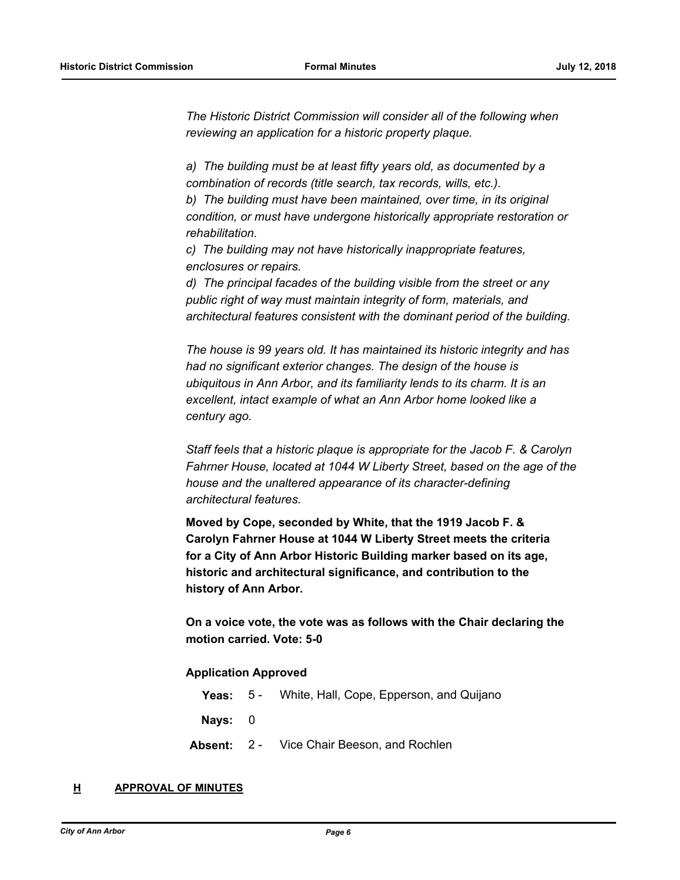*The Historic District Commission will consider all of the following when reviewing an application for a historic property plaque.*

*a) The building must be at least fifty years old, as documented by a combination of records (title search, tax records, wills, etc.).*

*b) The building must have been maintained, over time, in its original condition, or must have undergone historically appropriate restoration or rehabilitation.*

*c) The building may not have historically inappropriate features, enclosures or repairs.*

*d) The principal facades of the building visible from the street or any public right of way must maintain integrity of form, materials, and architectural features consistent with the dominant period of the building.*

*The house is 99 years old. It has maintained its historic integrity and has had no significant exterior changes. The design of the house is ubiquitous in Ann Arbor, and its familiarity lends to its charm. It is an excellent, intact example of what an Ann Arbor home looked like a century ago.*

*Staff feels that a historic plaque is appropriate for the Jacob F. & Carolyn Fahrner House, located at 1044 W Liberty Street, based on the age of the house and the unaltered appearance of its character-defining architectural features.*

**Moved by Cope, seconded by White, that the 1919 Jacob F. & Carolyn Fahrner House at 1044 W Liberty Street meets the criteria for a City of Ann Arbor Historic Building marker based on its age, historic and architectural significance, and contribution to the history of Ann Arbor.**

**On a voice vote, the vote was as follows with the Chair declaring the motion carried. Vote: 5-0**

#### **Application Approved**

|           | <b>Yeas:</b> 5 - White, Hall, Cope, Epperson, and Quijano |
|-----------|-----------------------------------------------------------|
| Nays: $0$ |                                                           |
|           | <b>Absent:</b> 2 - Vice Chair Beeson, and Rochlen         |

#### **H APPROVAL OF MINUTES**